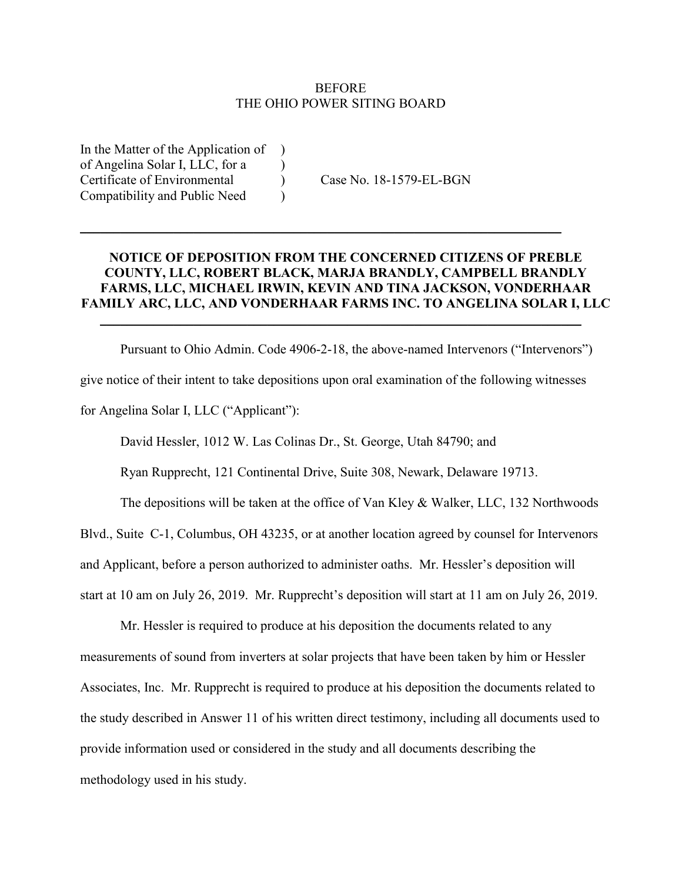## **BEFORE** THE OHIO POWER SITING BOARD

In the Matter of the Application of ) of Angelina Solar I, LLC, for a ) Certificate of Environmental (Case No. 18-1579-EL-BGN) Compatibility and Public Need )

## **NOTICE OF DEPOSITION FROM THE CONCERNED CITIZENS OF PREBLE COUNTY, LLC, ROBERT BLACK, MARJA BRANDLY, CAMPBELL BRANDLY FARMS, LLC, MICHAEL IRWIN, KEVIN AND TINA JACKSON, VONDERHAAR FAMILY ARC, LLC, AND VONDERHAAR FARMS INC. TO ANGELINA SOLAR I, LLC**

 $\overline{\phantom{a}}$  , and the contribution of the contribution of the contribution of the contribution of the contribution of the contribution of the contribution of the contribution of the contribution of the contribution of the

 $\mathcal{L}_\text{max} = \mathcal{L}_\text{max} = \mathcal{L}_\text{max} = \mathcal{L}_\text{max} = \mathcal{L}_\text{max} = \mathcal{L}_\text{max} = \mathcal{L}_\text{max} = \mathcal{L}_\text{max} = \mathcal{L}_\text{max} = \mathcal{L}_\text{max} = \mathcal{L}_\text{max} = \mathcal{L}_\text{max} = \mathcal{L}_\text{max} = \mathcal{L}_\text{max} = \mathcal{L}_\text{max} = \mathcal{L}_\text{max} = \mathcal{L}_\text{max} = \mathcal{L}_\text{max} = \mathcal{$ 

Pursuant to Ohio Admin. Code 4906-2-18, the above-named Intervenors ("Intervenors") give notice of their intent to take depositions upon oral examination of the following witnesses for Angelina Solar I, LLC ("Applicant"):

David Hessler, 1012 W. Las Colinas Dr., St. George, Utah 84790; and

Ryan Rupprecht, 121 Continental Drive, Suite 308, Newark, Delaware 19713.

The depositions will be taken at the office of Van Kley & Walker, LLC, 132 Northwoods Blvd., Suite C-1, Columbus, OH 43235, or at another location agreed by counsel for Intervenors and Applicant, before a person authorized to administer oaths. Mr. Hessler's deposition will start at 10 am on July 26, 2019. Mr. Rupprecht's deposition will start at 11 am on July 26, 2019.

Mr. Hessler is required to produce at his deposition the documents related to any measurements of sound from inverters at solar projects that have been taken by him or Hessler Associates, Inc. Mr. Rupprecht is required to produce at his deposition the documents related to the study described in Answer 11 of his written direct testimony, including all documents used to provide information used or considered in the study and all documents describing the methodology used in his study.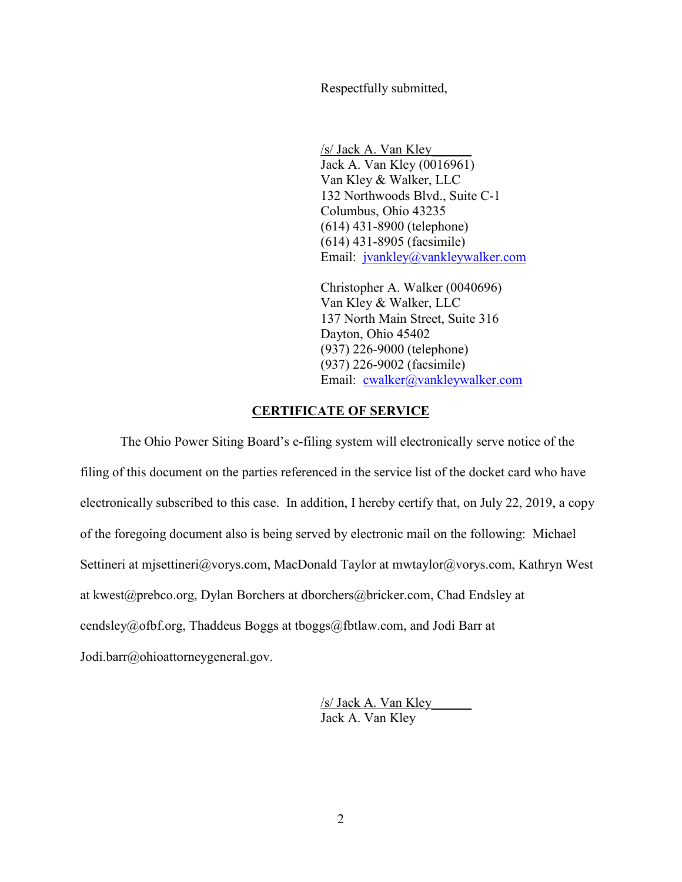Respectfully submitted,

/s/ Jack A. Van Kley\_\_\_\_\_\_ Jack A. Van Kley (0016961) Van Kley & Walker, LLC 132 Northwoods Blvd., Suite C-1 Columbus, Ohio 43235 (614) 431-8900 (telephone) (614) 431-8905 (facsimile) Email: jvankley@vankleywalker.com

Christopher A. Walker (0040696) Van Kley & Walker, LLC 137 North Main Street, Suite 316 Dayton, Ohio 45402 (937) 226-9000 (telephone) (937) 226-9002 (facsimile) Email: cwalker@vankleywalker.com

## **CERTIFICATE OF SERVICE**

The Ohio Power Siting Board's e-filing system will electronically serve notice of the filing of this document on the parties referenced in the service list of the docket card who have electronically subscribed to this case. In addition, I hereby certify that, on July 22, 2019, a copy of the foregoing document also is being served by electronic mail on the following: Michael Settineri at mjsettineri@vorys.com, MacDonald Taylor at mwtaylor@vorys.com, Kathryn West at kwest@prebco.org, Dylan Borchers at dborchers@bricker.com, Chad Endsley at cendsley@ofbf.org, Thaddeus Boggs at tboggs@fbtlaw.com, and Jodi Barr at Jodi.barr@ohioattorneygeneral.gov.

> /s/ Jack A. Van Kley\_\_\_\_\_\_ Jack A. Van Kley